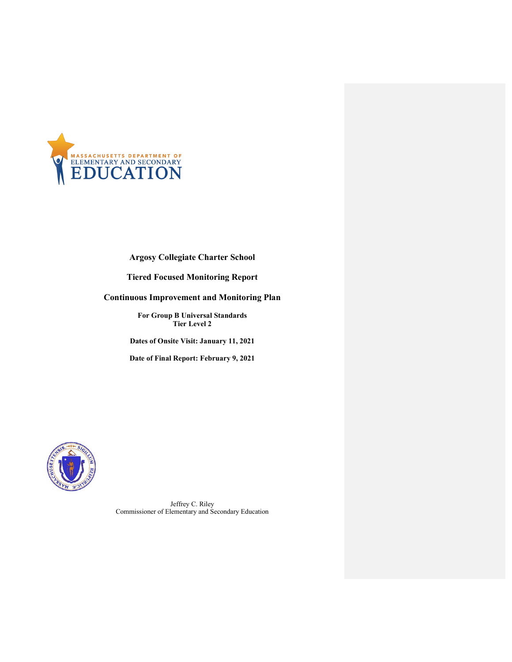

Argosy Collegiate Charter School

Tiered Focused Monitoring Report

Continuous Improvement and Monitoring Plan

For Group B Universal Standards Tier Level 2

Dates of Onsite Visit: January 11, 2021

Date of Final Report: February 9, 2021



Jeffrey C. Riley Commissioner of Elementary and Secondary Education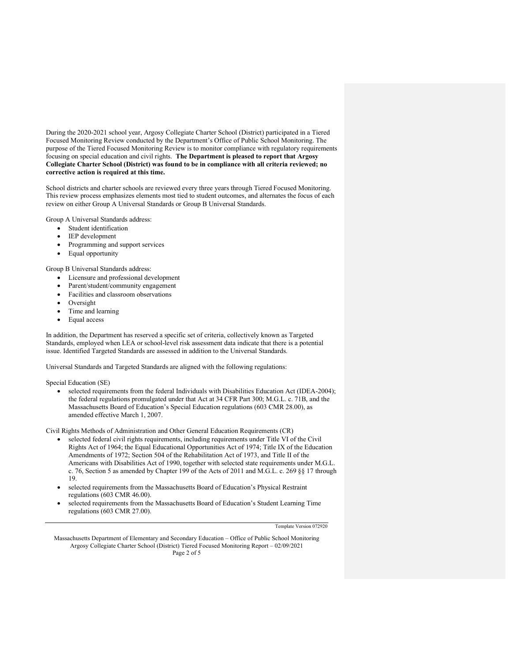During the 2020-2021 school year, Argosy Collegiate Charter School (District) participated in a Tiered Focused Monitoring Review conducted by the Department's Office of Public School Monitoring. The purpose of the Tiered Focused Monitoring Review is to monitor compliance with regulatory requirements focusing on special education and civil rights. The Department is pleased to report that Argosy Collegiate Charter School (District) was found to be in compliance with all criteria reviewed; no corrective action is required at this time.

School districts and charter schools are reviewed every three years through Tiered Focused Monitoring. This review process emphasizes elements most tied to student outcomes, and alternates the focus of each review on either Group A Universal Standards or Group B Universal Standards.

Group A Universal Standards address:

- Student identification
- IEP development
- Programming and support services
- Equal opportunity

Group B Universal Standards address:

- Licensure and professional development
- Parent/student/community engagement
- Facilities and classroom observations
- Oversight
- Time and learning
- Equal access

In addition, the Department has reserved a specific set of criteria, collectively known as Targeted Standards, employed when LEA or school-level risk assessment data indicate that there is a potential issue. Identified Targeted Standards are assessed in addition to the Universal Standards.

Universal Standards and Targeted Standards are aligned with the following regulations:

Special Education (SE)

 selected requirements from the federal Individuals with Disabilities Education Act (IDEA-2004); the federal regulations promulgated under that Act at 34 CFR Part 300; M.G.L. c. 71B, and the Massachusetts Board of Education's Special Education regulations (603 CMR 28.00), as amended effective March 1, 2007.

Civil Rights Methods of Administration and Other General Education Requirements (CR)

- selected federal civil rights requirements, including requirements under Title VI of the Civil Rights Act of 1964; the Equal Educational Opportunities Act of 1974; Title IX of the Education Amendments of 1972; Section 504 of the Rehabilitation Act of 1973, and Title II of the Americans with Disabilities Act of 1990, together with selected state requirements under M.G.L. c. 76, Section 5 as amended by Chapter 199 of the Acts of 2011 and M.G.L. c. 269 §§ 17 through 19.
- selected requirements from the Massachusetts Board of Education's Physical Restraint regulations (603 CMR 46.00).
- selected requirements from the Massachusetts Board of Education's Student Learning Time regulations (603 CMR 27.00).

Template Version 072920

Massachusetts Department of Elementary and Secondary Education – Office of Public School Monitoring Argosy Collegiate Charter School (District) Tiered Focused Monitoring Report – 02/09/2021 Page 2 of 5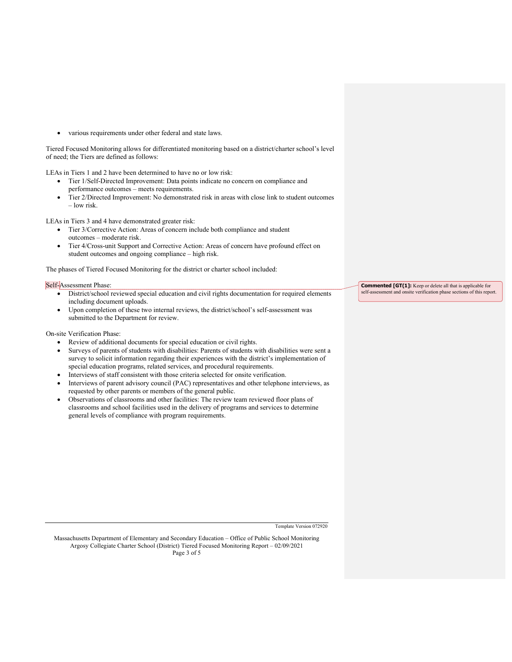various requirements under other federal and state laws.

Tiered Focused Monitoring allows for differentiated monitoring based on a district/charter school's level of need; the Tiers are defined as follows:

LEAs in Tiers 1 and 2 have been determined to have no or low risk:

- Tier 1/Self-Directed Improvement: Data points indicate no concern on compliance and performance outcomes – meets requirements.
- Tier 2/Directed Improvement: No demonstrated risk in areas with close link to student outcomes – low risk.

LEAs in Tiers 3 and 4 have demonstrated greater risk:

- Tier 3/Corrective Action: Areas of concern include both compliance and student outcomes – moderate risk.
- Tier 4/Cross-unit Support and Corrective Action: Areas of concern have profound effect on student outcomes and ongoing compliance – high risk.

The phases of Tiered Focused Monitoring for the district or charter school included:

## Self-Assessment Phase:

- District/school reviewed special education and civil rights documentation for required elements including document uploads.
- Upon completion of these two internal reviews, the district/school's self-assessment was submitted to the Department for review.

On-site Verification Phase:

- Review of additional documents for special education or civil rights.
- Surveys of parents of students with disabilities: Parents of students with disabilities were sent a survey to solicit information regarding their experiences with the district's implementation of special education programs, related services, and procedural requirements.
- Interviews of staff consistent with those criteria selected for onsite verification.
- Interviews of parent advisory council (PAC) representatives and other telephone interviews, as requested by other parents or members of the general public.
- Observations of classrooms and other facilities: The review team reviewed floor plans of classrooms and school facilities used in the delivery of programs and services to determine general levels of compliance with program requirements.

Commented [GT(1]: Keep or delete all that is applicable for self-assessment and onsite verification phase sections of this report.

Template Version 072920

Massachusetts Department of Elementary and Secondary Education – Office of Public School Monitoring Argosy Collegiate Charter School (District) Tiered Focused Monitoring Report – 02/09/2021 Page 3 of 5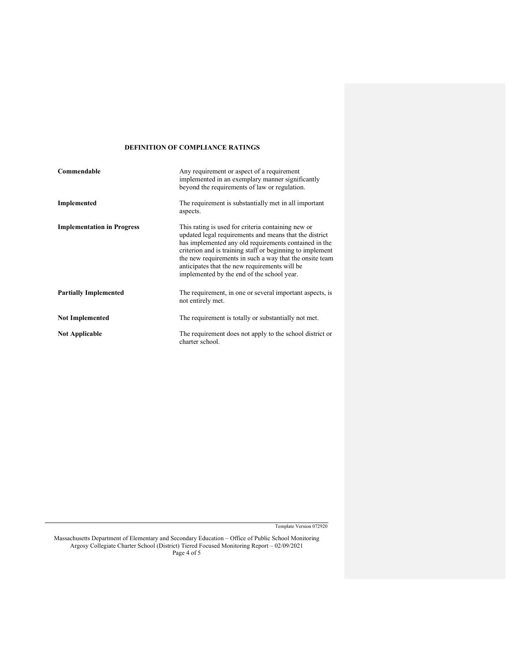## DEFINITION OF COMPLIANCE RATINGS

| Commendable                       | Any requirement or aspect of a requirement<br>implemented in an exemplary manner significantly<br>beyond the requirements of law or regulation.                                                                                                                                                                                                                                              |  |
|-----------------------------------|----------------------------------------------------------------------------------------------------------------------------------------------------------------------------------------------------------------------------------------------------------------------------------------------------------------------------------------------------------------------------------------------|--|
| Implemented                       | The requirement is substantially met in all important<br>aspects.                                                                                                                                                                                                                                                                                                                            |  |
| <b>Implementation in Progress</b> | This rating is used for criteria containing new or<br>updated legal requirements and means that the district<br>has implemented any old requirements contained in the<br>criterion and is training staff or beginning to implement<br>the new requirements in such a way that the onsite team<br>anticipates that the new requirements will be<br>implemented by the end of the school year. |  |
| <b>Partially Implemented</b>      | The requirement, in one or several important aspects, is<br>not entirely met.                                                                                                                                                                                                                                                                                                                |  |
| <b>Not Implemented</b>            | The requirement is totally or substantially not met.                                                                                                                                                                                                                                                                                                                                         |  |
| <b>Not Applicable</b>             | The requirement does not apply to the school district or<br>charter school.                                                                                                                                                                                                                                                                                                                  |  |

Template Version 072920

Massachusetts Department of Elementary and Secondary Education – Office of Public School Monitoring Argosy Collegiate Charter School (District) Tiered Focused Monitoring Report – 02/09/2021 Page 4 of 5